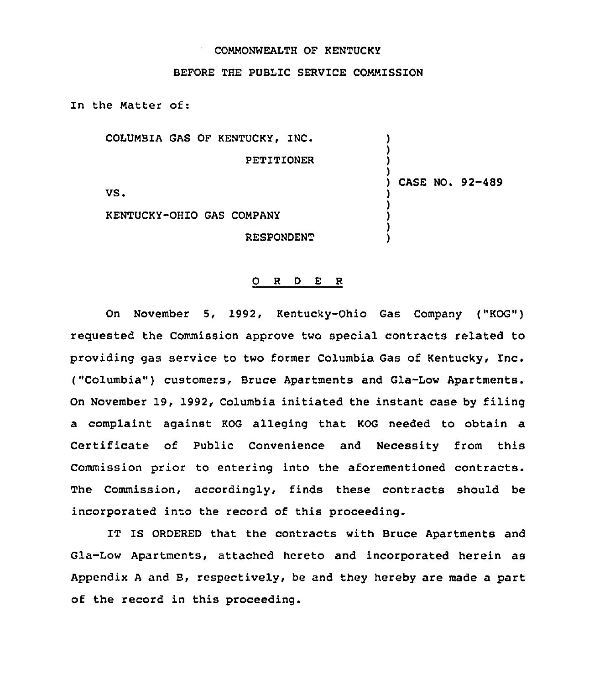# COMMONWEALTH OF KENTUCKY

# BEFORE THE PUBLIC SERVICE COMMISSION

In the Matter of:

COLUMBIA GAS OF KENTUCKY, INC. PETITIONER VS. KENTUCKY-OHIO GAS COMPANY RESPONDENT ) ) ) ) ) CASE NO. 92-489 ) ) ) ) )

### 0 R <sup>D</sup> E R

On November 5, 1992, Kentucky-Ohio Gas Company ("KOG") requested the Commission approve two special contracts related to providing gas service to two former Columbia Gas of Kentucky, Inc. ("Columbia" ) customers, Bruce Apartments and Gla-Low Apartments. On November 19, 1992, Columbia initiated the instant case by filing a complaint against KOG alleging that KOG needed to obtain a Certificate of Public Convenience and Necessity from this Commission prior to entering into the aforementioned contracts. The Commission, accordingly, finds these contracts should be incorporated into the record of this proceeding.

IT IS ORDERED that the contracts with Bruce Apartments and Gla-Low Apartments, attached hereto and incorporated herein as Appendix <sup>A</sup> and B, respectively, be and they hereby are made a part of the record in this proceeding.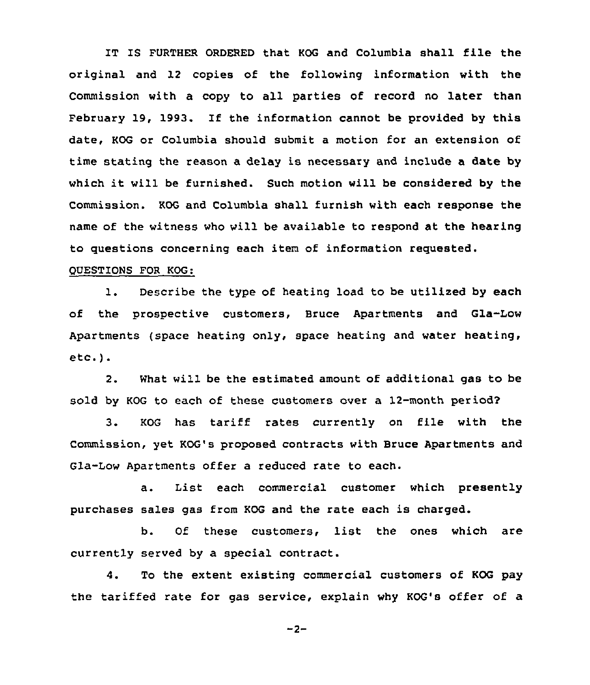IT IS FURTHER ORDERED that KOG and Columbia shall file the original and 12 copies of the following information with the Commission with a copy to all parties of record no later than February 19, 1993. If the information cannot be provided by this date, KOG or Columbia should submit a motion for an extension of time stating the reason a delay is necessary and include a date by which it will be furnished. Such motion will be considered by the Commission. KOG and Columbia shall furnish with each response the name of the witness who will be available to respond at the hearing to questions concerning each item of information requested.

## QUESTIONS FOR KOG:

1. Describe the type of heating load to be utilized by each of the prospective customers, Bruce Apartments and Gla-Low Apartments (space heating only, space heating and water heating, etc.).

2. What will be the estimated amount of additional gas to be sold by KOG to each of these customers over a 12-month period?

3. KOG has tariff rates currently on file with the Commission, yet KOG's proposed contracts with Bruce Apartments and Gla-Low Apartments offer a reduced rate to each.

a. List each commercial customer which presently purchases sales gas from KOG and the rate each is charged.

b. Of these customers, list the ones which are currently served by a special contract.

4. To the extent existing commercial customers of KOG pay the tariffed rate for gas service, explain why KOG's offer of a

 $-2-$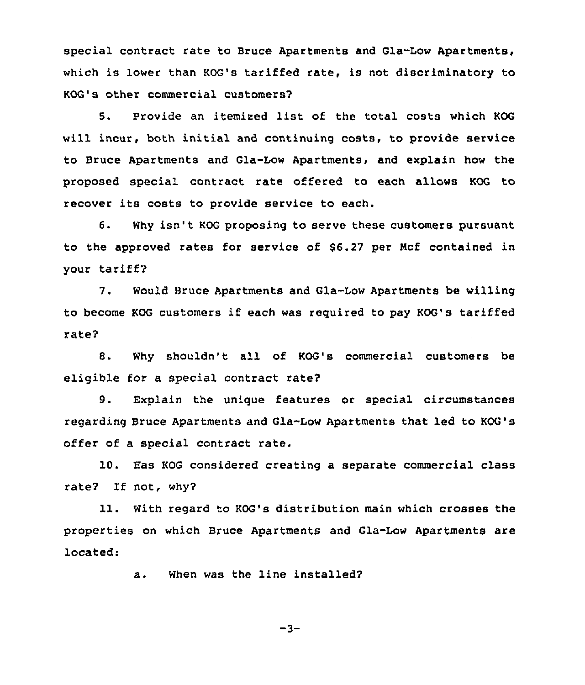special contract rate to Bruce Apartments and Gla-Low Apartments, which is lower than KOG's tariffed rate, is not discriminatory to KOG's other commercial customers7

5. Provide an itemized list of the total costs which KOG will incur, both initial and continuing costs, to provide service to Bruce Apartments and Gla-Low Apartments, and explain how the proposed special contract rate offered to each allows KOG to recover its costs to provide service to each.

6. Why isn't KOG proposing to serve these customers pursuant to the approved rates for service of \$6.27 per Ncf contained in your tariff7

7. Would Bruce Apartments and Gla-Low Apartments be willing to become KOG customers if each was required to pay KOG's tariffed xate?

8. Why shouldn't all of KOG's commercial customers be eligible for a special contract rate?

9. Explain the unigue features or special circumstances regarding Bruce Apartments and Gla-Low Apartments that led to KOG's offer of a special contract rate.

10. Eas KOG considered creating a separate commercial class rate? If not, why?

11. With regard to KOG's distribution main which crosses the properties on which Bruce Apartments and Gla-Low Apartments are located:

a. When was the line installed?

 $-3-$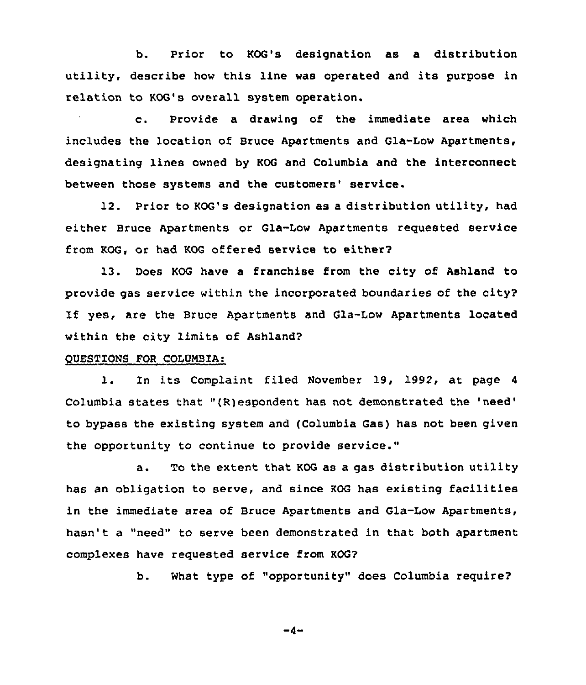b. Prior to KOG's designation as a distribution utility, describe how this line was operated and its purpose in relation to KOG's overall system operation.

c. Provide <sup>a</sup> drawing of the immediate area which includes the location of Bruce Apartments and Gla-Low Apartments, designating lines owned by KOG and Columbia and the interconnect between those systems and the customers' service.

12. Prior to KOG's designation as a distribution utility, had either Bruce Apartments or Gla-Low Apartments requested service from KOG, or had KOG offered service to either'

13. Does KOG have a franchise from the city of Ashland to provide gas service within the incorporated boundaries of the city? If yes, are the Bruce Apartments and Gla-Low Apartments located within the city limits of Ashland?

## QUESTIONS FOR COLUMBIA:

l. In its Complaint filed November 19, 1992, at page <sup>4</sup> Columbia states that "(R)espondent has not demonstrated the 'need' bypass the existing system and (Columbia Gas) has not been given the opportunity to continue to provide service."

a. To the extent that KOG as a gas distribution utility has an obligation to serve, and since KOG has existing facilities in the immediate area of Bruce Apartments and Gla-Low Apartments, hasn't a "need" to serve been demonstrated in that both apartment complexes have requested service from KOG?

b. What type of "opportunity" does Columbia require?

 $-4-$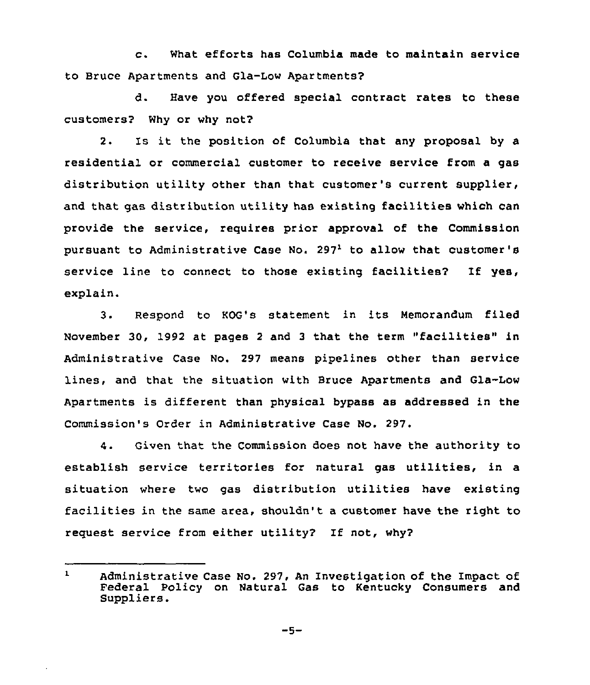c. What efforts has Columbia made to maintain service to Bruce Apartments and Gla-Low Apartments?

d. Have you offered special contract rates to these customers? Why or why not?

2. Is it the position of Columbia that any proposal by <sup>a</sup> residential or commercial customer to receive service from a gas distribution utility other than that customer's current supplier, and that gas distribution utility has existing facilities which can provide the service, requires prior approval of the Commission pursuant to Administrative Case No. 297<sup>1</sup> to allow that customer's service line to connect to those existing facilities? If yes, explain.

3. Respond to KOG's statement in its Memorandum filed November 30, 1992 at pages <sup>2</sup> and <sup>3</sup> that the term "facilities" in Administrative Case No. 297 means pipelines other than service lines, and that the situation with Bruce Apartments and Gla-Low Apartments is different than physical bypass as addressed in the Commission's Order in Administrative Case No. 297

 $4.$ Given that the Commission does not have the authority to establish service territories for natural gas utilities, in a situation where two gas distribution utilities have existing facilities in the same area, shouldn't <sup>a</sup> customer have the right to request service from either utility? If not, why?

 $\mathbf{1}$ Administrative Case No. 297, An Investigation of the Impact of Federal Policy on Natural Gas to Kentucky Consumers and Suppliers.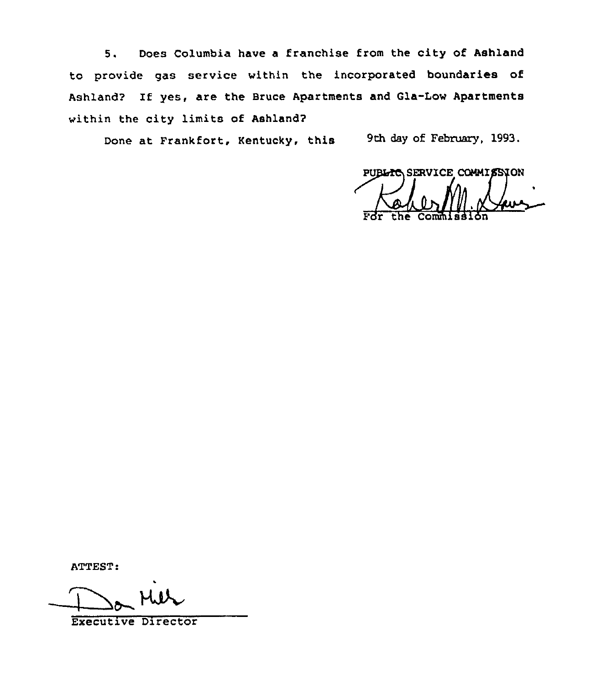5. Does Columbia have <sup>a</sup> franchise from the city of Ashland to provide gas service within the incorporated boundaries of Ashland? If yes, are the Bruce Apartments and Gla-Low Apartments within the city limits of Ashland?

Done at Frankfort, Kentucky, this 9th day of February, 1993.

PUBLIC SERVICE COMMISSION For the Commission

ATTEST:

Executive DirectOr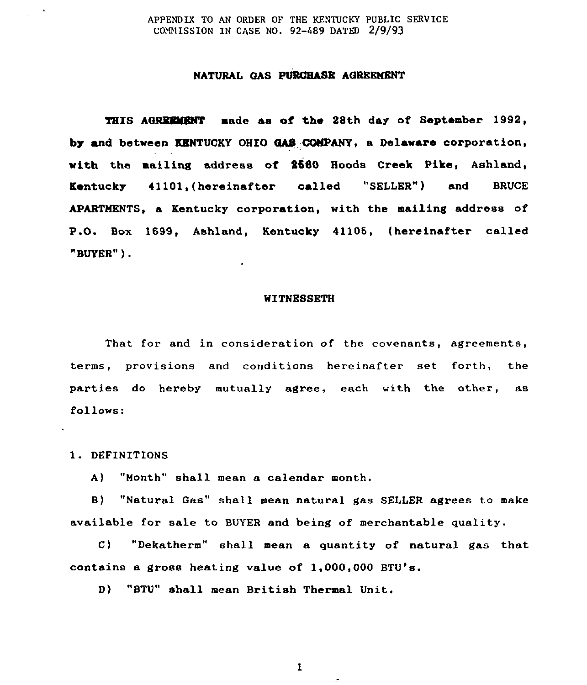### APPENDIX TO AN ORDER OF THE KENTUCKY PUBLIC SERVICE CONNISSION IN CASE NO. 92-489 DATED 2/9/93

# NATURAL GAS PURCHASE AGREEMENT

THIS AGREHMHNT made as of the 28th day of September 1992, by and between KENTUCKY OHIO QAS COMPANY, a Delaware corporation, with the mailing address of 2580 Hoods Creek Pike, Ashland, Kentucky 41101,(hereinafter called "SELLER") and BRUCE APARTMENTS, a Kentucky corporation, with the mailing address of P.O. Box 1699, Ashland, Kentucky 41106, thereinafter called "BUYER" )

### WITNESSETH

That for and in consideration of the covenants, agreements, terms, provisions and conditions hereinafter set forth, the parties do hereby mutually agree, each with the other, as follows:

1. DEFINITIONS

A) "Month" shall mean a calendar month.

B) "Natural Gas" shall mean natural gas SELLER agrees to make available for sale to BUYER and being of merchantable quality.

C) "Dekatherm" shall mean a quantity of natural gas that contains a gross heating value of 1,000,000 BTU's.

D) "BTU" shall mean British Thermal Unit.

 $\mathbf{1}$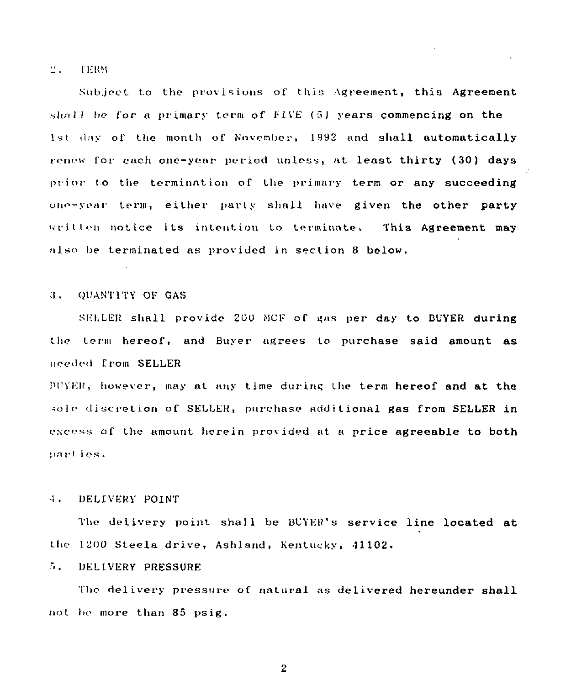#### $2.1$ **ITERM**

Subject to the provisions of this Agreement, this Agreement shall be for a primary term of  $EIVE$  (5) years commencing on the 1st day of the month of November, 1992 and shall automatically renew for each one-year period unless, at least thirty (30) days prior to the termination of the primary term or any succeeding one-year term, either party shall have given the other party written notice its intention to terminate. This Agreement may also be terminated as provided in section 8 below.

### (<UANT1TY OF GAS 3.

SELLER shall provide 200 MCF of gas per day to BUYER during the term hereof, and Buyer agrees to purchase said amount as needed from SELLER

 $I^{\text{I}}$ II'Y $E$ P, however, may at any time during the term hereof and at the sole discretion of SELLER, purchase additional gas from SELLER in excess of the amount herein provided at a price agreeable to both parties.

### $4.1$ DELIVERY POINT

The delivery point shall be BUYER's service line located at the 1200 Steela drive, Ashland, Kentucky, 41102.

### $5.1$ DELIVERY PRESSURE

The delivery pressure of natural as delivered hereunder shall not be more than 85 psig.

 $\overline{2}$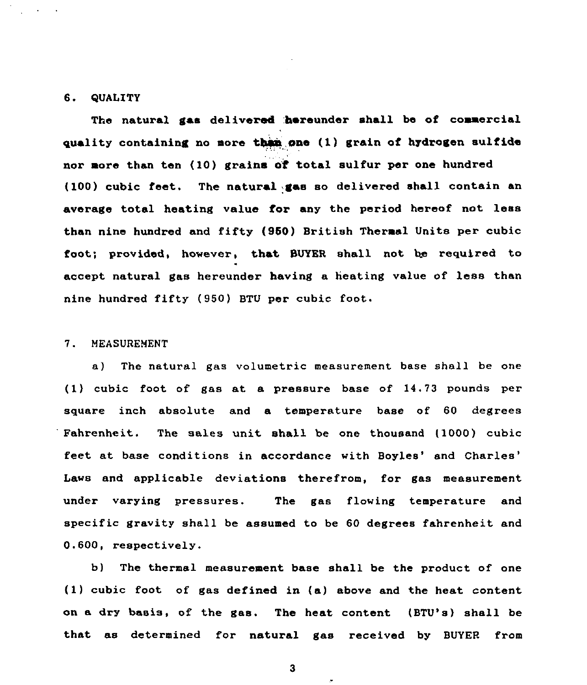### 6. QUALITY

The natural gas delivered hereunder shall be of commercial quality containing no more than one (1) grain of hydrogen sulfide nor more than ten (10) grains of total sulfur per one hundred (100) cubic feet. The natural gas so delivered shall contain an average total heating value for any the period hereof not less than nine hundred and fifty (960) British Thermal Units per cubic foot; provided, however, that BUYER shall not be required to accept natural gas hereunder having a heating value of less than nine hundred fifty (950) BTU per cubic foot.

### 7. MEASUREMENT

a) The natural gas volumetric measurement base shall be one  $(1)$  cubic foot of gas at a pressure base of  $14.73$  pounds per square inch absolute and a temperature base of 60 degrees Fahrenheit. The sales unit shall be one thousand (1000) cubic feet at base conditions in accordance with Boyles' and Charles' Laws and applicable deviations therefrom, for gas measurement under varying pressures. The gas flowing temperature and specific gravity shall be assumed to be 60 degrees fahrenheit and 0.600, respectively.

b) The thermal measurement base shall be the product of one (1) cubic foot of gas defined in (a) above and the hest content on a dry basis, of the gas. The heat content (BTU's) shall be that as determined for natural gas received by BUYER from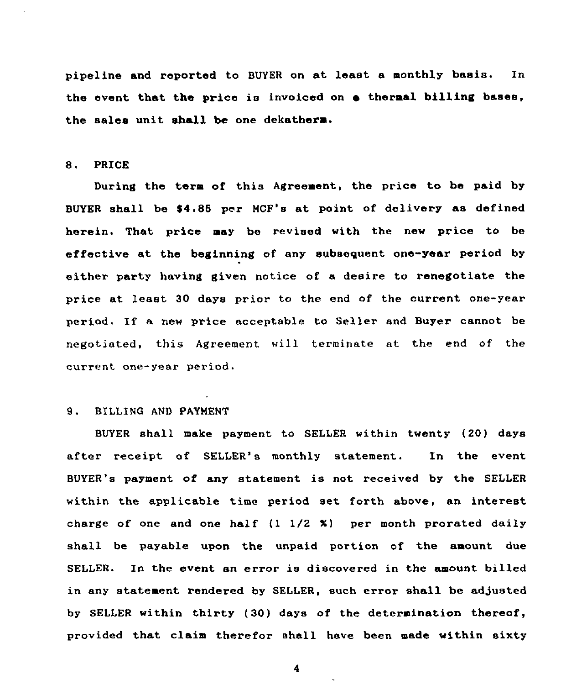pipeline and reported to BUYER on at least a monthly basis. In the event that the price is invoiced on  $\bullet$  thermal billing bases, the sales unit shall be one dekatherm.

## 8. PRICE

During the term of this Agreement, the price to be paid by BUYER shall be \$4.85 per MCF's at point of delivery as defined herein. That price may be revised with the new price to be effective at the beginning of any subsequent one-year period by either party having given notice of a desire to renegotiate the price at least 30 days prior to the end of the current one-year period, If a new price acceptable to Seller and Buyer cannot be negotiated, this Agreement will terminate at the end of the currert one-year period.

# 9. BILLING AND PAYNENT

BUYER shall make payment to SELLER within twenty (20) days after receipt of SELLER's monthly statement. In the event BUYER's payment of any statement is not received by the SELLER within the applicable time period set forth above, an interest charge of one and one half  $(1 \ 1/2 \ 1)$  per month prorated daily shall be payable upon the unpaid portion of the amount due SELLER. In the event an error is discovered in the amount billed in any statement rendered by SELLER, such error shall be adjusted by SELLER within thirty (30) days of the determination thereof, provided that claim therefor shall have been made within sixty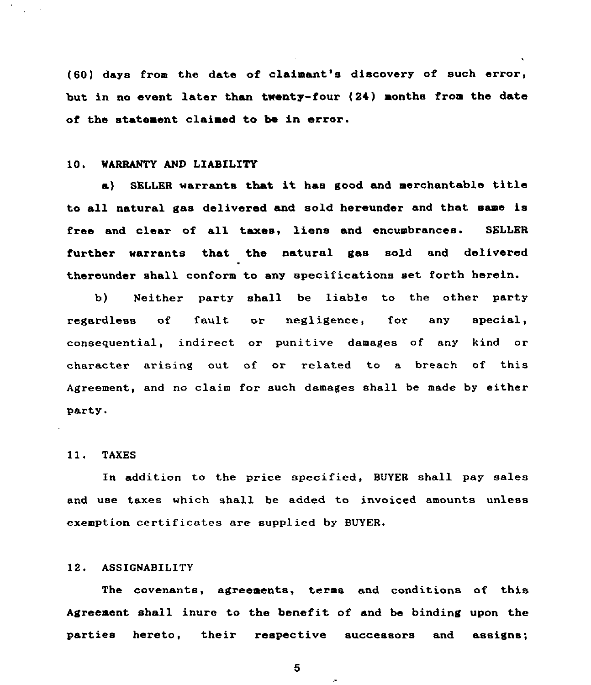(60) days from the date of claimant's discovery of such error, but in no event later than twenty-four (24) months from the date of the statement claimed to be in error.

# 10. WARRANTY AND LIABILITY

a) SELLER warrants that it has good and merchantable title to all natural gas delivered and sold hereunder and that same is free and clear of all taxes, liens and encumbrances. SELLER further warrants that the natural gas sold and delivered thereunder shall conform to any specifications set forth herein.

b) Neither party shall be liable to the other party regardless of fault or negligence, for any special, consequential, indirect or punitive damages of any kind or character arising out of or related to a breach of this Agreement, and no claim for such damages shall be made by either party.

### 11. TAXES

In addition to the price specified, BUYER shall pay sales and use taxes which shall be added to invoiced amounts unless exemption certificates are supplied by BUYER.

## 12. ASSIGNABILITY

The covenants, agreements, terms and conditions of this Agreement shall inure to the benefit of and be binding upon the parties hereto, their respective successors and assigns;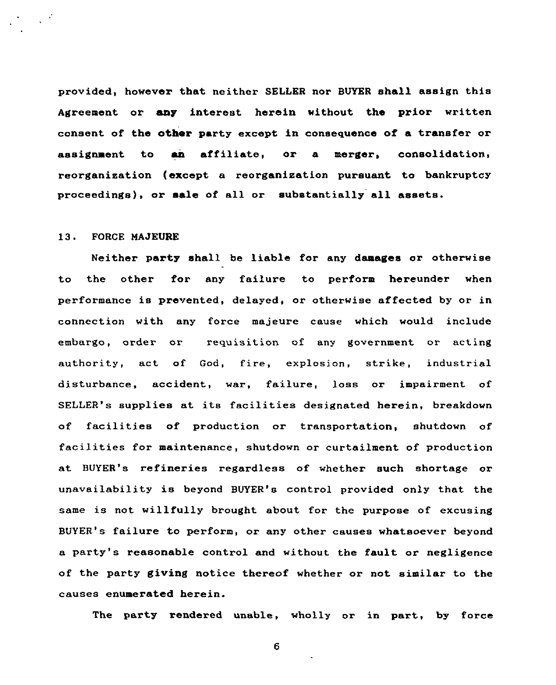provided, however that neither SELLER nor BVYER shall assign this Agreement or any interest herein without the prior written consent of the other party except in consequence of a transfer or assignment to an affiliate, or a merger, consolidation, reorganisation (except a reorganisation pursuant to bankruptcy proceedings), or sale of all or substantially all assets.

# 13. FORCE MAJEURE

Neither party shall be liable for any damages or otherwise to the other for any failure to perform hereunder when performance is prevented, delayed, or otherwise affected by or in connection with any force majeure cause which would include embargo, order or requisition of any government or acting authority, act of God, fire, explosion, strike, industrial disturbance, accident, war, failure, loss or impairment of SELLER's supplies at its facilities designated herein, breakdown of facilities of production or transportation, shutdown of facilities for maintenance, shutdown or curtailment of production at BUYER's refineries regardless of whether such shortage or unavailability is beyond BUYER's control provided only that the same is not willfully brought about for the purpose of excusing BUYER's failure to perform, or any other causes whatsoever beyond a party's reasonable control and without the fault or negligence of the party giving notice thereof whether or not similar to the causes enumerated herein.

The party rendered unable, wholly or in part, by force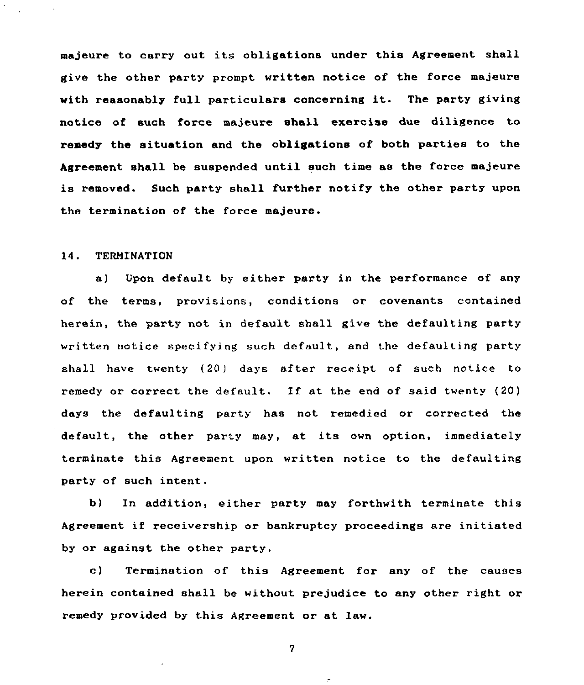majeure to carry out its obligations under this Agreement shall give the other party prompt written notice of the force majeure with reasonably full particulars concerning it. The party giving notice of such force majeure shall exercise due diligence to remedy the situation and the obligations of both parties to the Agreement shall be suspended until such time as the force majeure is removed. Such party shall further notify the other party upon the termination of the force majeure.

# 14. TERMINATION

a) Upon default by either party in the performance of any of the terms, provisions, conditions or covenants contained herein, the party not, in default shall give the defaulting party written notice specifying such default, and the defaulting party shall have twenty (20) days after receipt of such notice to remedy or correct the default. If at the end of said twenty (20) days the defaulting party has not remedied or corrected the default, the other party may, at its own option, immediately terminate this Agreement upon written notice to the defaulting party of such intent.

b) In addition, either party may forthwith terminate this Agreement if receivership or bankruptcy proceedings are initiated by or against the other party.

c) Termination of this Agreement for any of the causes herein contained shall be without prejudice to any other right or remedy provided by this Agreement or at law.

 $\overline{7}$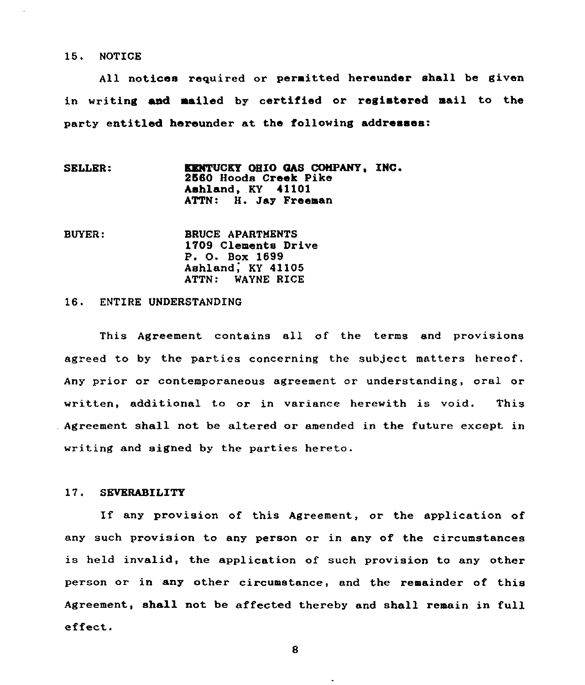15. NOTICE

All notices required or permitted hereunder shall be given in writing amd mailed by certified or registered mail to the party entitled hereunder at the following addresses:

- SELLER: KENTUCKY OHIO GAS COMPANY, INC. 2560 Hoods Creek Pike Ashland, KY 41101 ATTN: H. Jay Freeman
- BUYER: BRUCE APARTNENTS 1709 Clemente Drive P. 0. Box 1699 Ashland, KY 41105 ATTN: WAYNE RICE

# 16. ENTIRE UNDERSTANDING

This Agreement contains all of the terms and provisions agreed to by the parties concerning the subject matters hereof. Any prior or contemporaneous agreement or understanding, oral or written, additional to or in variance herewith is void. This Agreement shall not be altered or amended in the future except in writing and signed by the parties hereto.

### 17. SEVERABILITY

If any provision of this Agreement, or the application of any such provision to any person or in any of the circumstances is held invalid, the application of such provision to any other person or in any other circumstance, and the remainder of this Agreement, shall not be affected thereby and shall remain in full effect.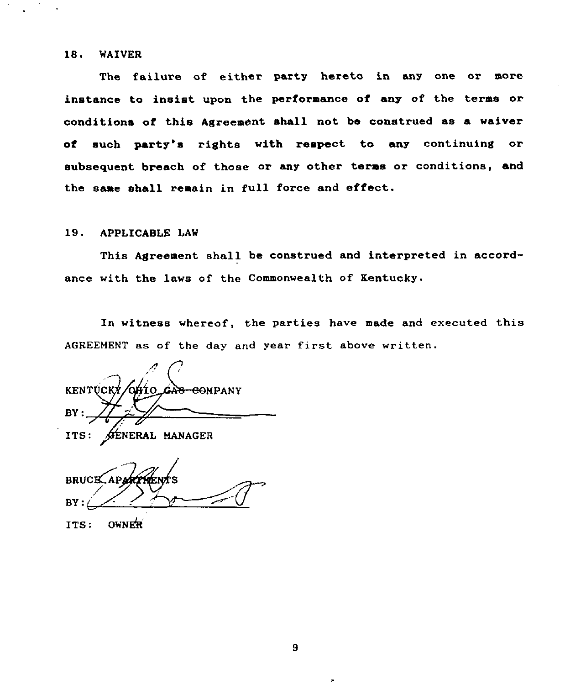## 18. WAIVER

The failure of either party hereto in any one or more instance to insist upon the performance of any of the terms or conditions of this Agreement shall not be construed as a waiver of such party's rights with respect to any continuing or subsequent breach of those or any other terms or conditions, and the same shall remain in full force and effect.

### 19. APPLICABLE LAW

This Agreement shall be construed and interpreted in accordance with the laws of the Commonwealth of Kentucky.

In witness whereof, the parties have made and executed this AGREEMENT as of the day and vear first above written.

KENTUCKY/OHIO GAS COMPANY  $BY:$  $\boldsymbol{v}$ ITS: AENERAL MANAGER

**BRUCE**  $BY:$ 

ITS: OWNER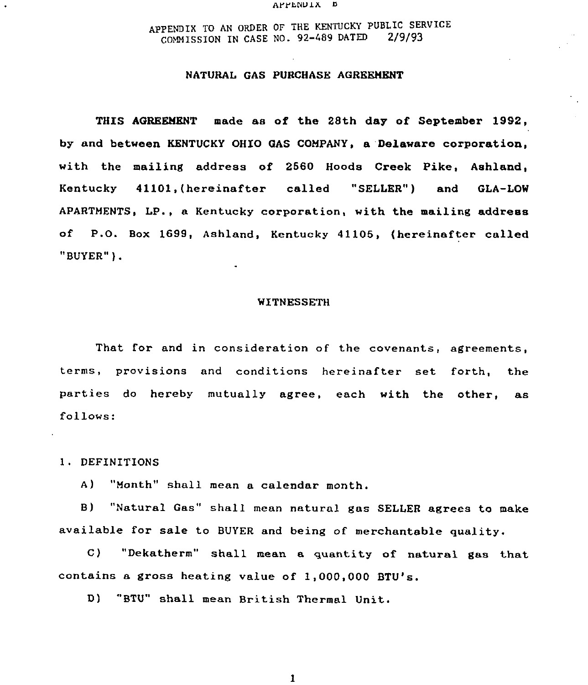### APPENDIX 5

APPENDIX TO AN ORDER OF THE KENTUCKY PUBLIC SERVICE COMMISSION IN CASE NO. 92-489 DATED

### NATURAL GAS PURCHASE AGREEHENT

THIS AGREEMENT made as of the 28th day of September 1992, by and between KENTUCKY OHIO GAS CONPANY, a 'Delaware corporation, with the mailing address of 2560 Hoods Creek Pike, Ashland, Kentucky 41101,(hereinafter called "SELLER") and GLA-LOW APARTMENTS, LP., a Kentucky corporation, with the mailing address of P.O. Box 1699, Ashland, Kentucky 41105, (hereinafter called "BUYER" )

### WITNESSETH

That for and in consideration of the covenants, agreements, terms, provisions and conditions hereinafter set forth, the parties do hereby mutually agree, each with the other, as follows:

1. DEFINITIONS

A) "Month" shall mean a calendar month.

B) "Natural Gas" shall mean natural gas SELLER agrees to make available for sale to BUYER and being of merchantable quality.

C) "Dekatherm" shall mean a quantity of natural gas that contains a gross heating value of 1,000,000 BTU's.

D) "BTU" shall mean British Thermal Unit.

 $\mathbf{I}$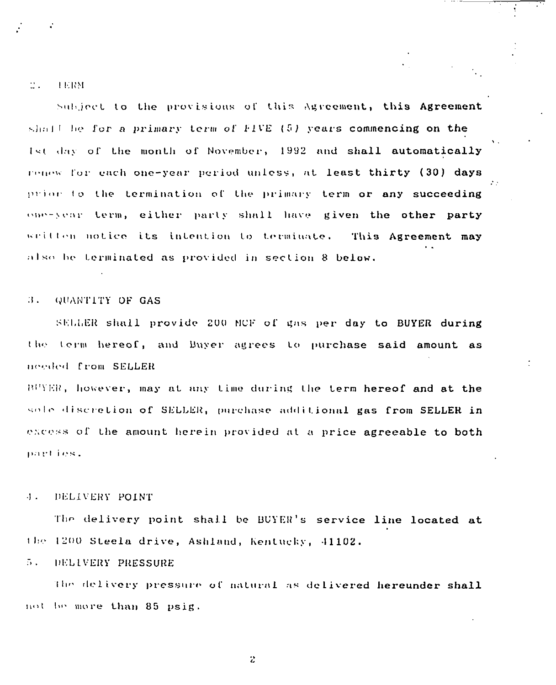### u. **I.I.IVI**

Subject to the provisions of this Agreement, this Agreement  $dim H$  be for a primary term of FIVE (5) years commencing on the Ist day of the month of November, 1992 and shall automatically renew for each one-year period unless, at least thirty (30) days prior to the termination of the primary term or any succeeding one-year term, either party shall have given the other party written notice its intention to terminate. This Agreement may also be terminated as provided in section 8 below.

### B. QUANTITY OF GAS

SELLER shall provide 200 MCF of gas per day to BUYER during the term hereof, and Buyer agrees to purchase said amount as needed from SELLER

 $PUVER$ , however, may at any time during the term hereof and at the sole discretion of SELLER, purchase additional gas from SELLER in excess of the amount herein provided at a price agreeable to both parties.

# .I . IiELIULI<Y POINT

The delivery point shall be BUYER's service line located at the 1200 Steela drive, Ashland, Kentucky, 41102.

### $\overline{\Omega}$ DELIVERY PRESSURE

The delivery pressure of natural as delivered hereunder shall hot be more than 85 psig.

 $\ddot{c}$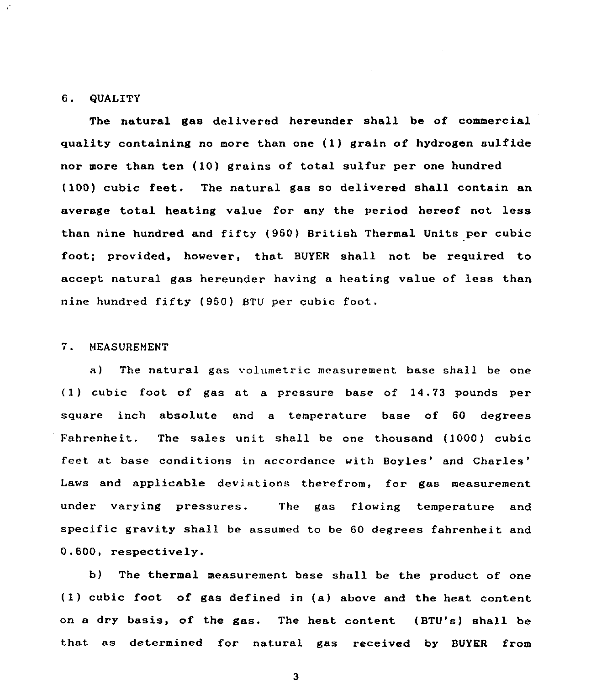### 6. QUALITY

The natural gas delivered hereunder shall be of commercial quality containing no more than one (1) grain of hydrogen sulfide nor more than ten (10) grains of total sulfur per one hundred  $(100)$  cubic feet. The natural gas so delivered shall contain an average total heating value for any the period hereof not less than nine hundred and fifty (950) British Thermal Units per cubic foot; provided, however, that BUYER shall not be required to accept natural gas hereunder having a heating value of less than nine hundred fifty (950) BTU per cubic foot.

# 7. HEASUREHENT

a) The natural gas volumetric measurement base shall be one (1) cubic foot of gas at a pressure base of 14,73 pounds per square inch absolute and a temperature base of 60 degrees Fahrenheit. The sales unit shall be one thousand (1000) cubic feet at base conditions in accordance with Boyles' and Charles' Laws and applicable deviations therefrom, for gas measurement under varying pressures. The gas flowing temperature and specific gravity shall be assumed to be 60 degrees fahrenheit and 0.600, respectively.

b) The thermal measurement base shall be the product of one (1) cubic foot of gas defined in (a) above and the heat content on a dry basis, of the gas. The heat content (BTU's) shall be that as determined for natural gas received by BUYER from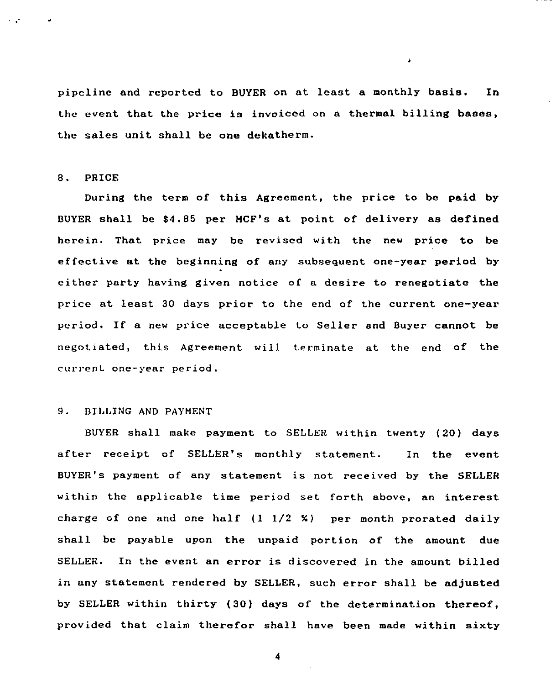pipeline and reported to BUYER on at least a monthly basis. In the event that the price is invoiced on a thermal billing bases, the sales unit shall be one dekatherm.

Â,

### 8. PRICE

During the term of this Agreement, the price to be paid by BUYER shall be 84.85 per HCF's at point of delivery as defined herein. That price may be revised with the new price to be effective at the beginning of any subsequent one-year period by either party having given notice of a desire to renegotiate the price at least 30 days prior to the end of the current one-year periods If <sup>a</sup> new price acceptable to Seller and Buyer cannot be negotiated, this Agreement will terminate at the end of the current one-year period.

# 9. BILLING AND PAYMENT

BUYER shall make payment to SELLER within twenty (20) days after receipt of SELLER's monthly statement. In the event BUYER's payment of any statement is not received by the SELLER within the applicable time period set forth above, an interest charge of one and one half (I I/2 %) per month prorated daily shall be payable upon the unpaid portion of the amount due SELLER. In the event an error is discovered in the amount billed in any statement rendered by SELLER, such error shall be adjusted by SELLER within thirty (30) days of the determination thereof, provided that claim therefor shall have been made within sixty

 $\boldsymbol{4}$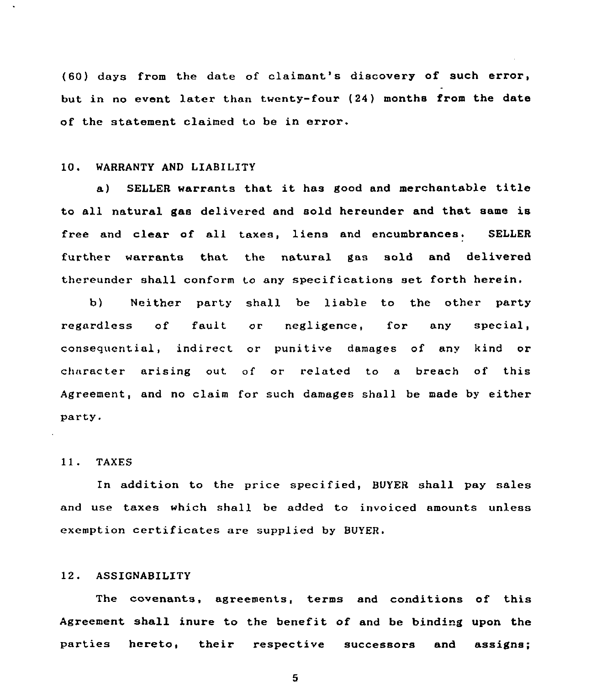(60) days from the date of claimant's discovery of such error, but in no event later than twenty-four (24) months from the date of the statement claimed to be in error,

# 10. WARRANTY AND LIABILITY

a) SELLER warrants that it has good and merchantable title to all natural gas delivered and sold hereunder and that same is free and clear of all taxes, liens and encumbrances. SELLER further warrants that the natural gas sold and delivered thereunder shall conform to any specifications set forth herein.

b) Neither party shall be liable to the other party regardless of fault or negligence, for any special, consequential, indirect or punitive damages of any kind or character arising out of or related to a breach of this Agreement, and no claim for such damages shall be made by either party.

## 11. TAXES

In addition to the price specified, BUYER shall pay sales and use taxes which shall be added to invoiced amounts unless exemption certificates are supplied by BUYER

# 12. ASSIGNABILITY

The covenants, agreements, terms and conditions of this Agreement shall inure to the benefit of and be binding upon the parties hereto, their respective successors and assigns;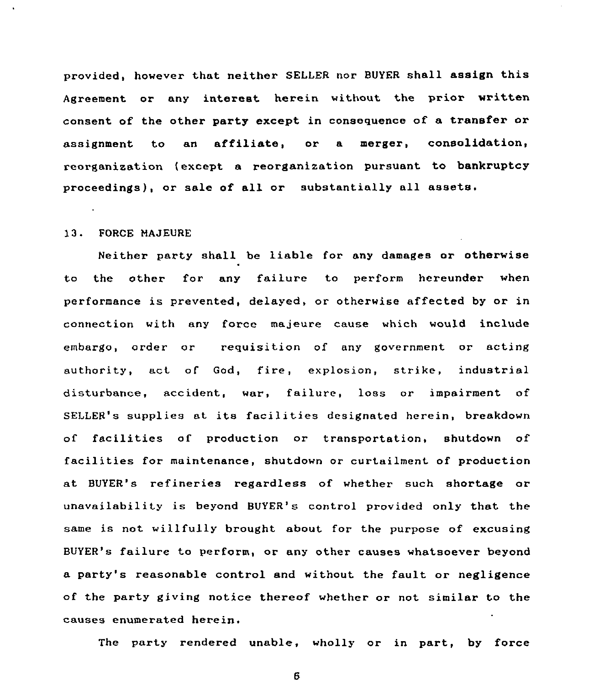provided, however that neither SELLER nor BUYER shall assign this Agreement or any interest herein without the prior written consent of the other party except in consequence of a transfer or assignment to an affiliate, or <sup>a</sup> merger, consolidation, reorganization (except a reorganization pursuant to bankruptcy proceedings), or sale of all or substantially all assets.

### 13. FORCE MAJEURE

Neither party shall be liable for any damages or otherwise to the other for any failure to perform hereunder when performance is prevented, delayed, or otherwise affected by or in connection with any force majeure cause which would include embargo, order or requisition of any government or acting authority, act of God, fire, explosion, strike, industrial disturbance, accident, war, failure, loss or impairment of SELLER's supplies at its facilities designated herein, breakdown of facilities of production or transportation, shutdown of facilities for maintenance, shutdown or curtailment of production at BUYER's refineries regardless of whether such shortage or unavailability is beyond BUYER's control provided only that the same is not willfully brought about for the purpose of excusing BUYER's failure to perform, or any other causes whatsoever beyond a party's reasonable control and without the fault or negligence of the party giving notice thereof whether or not similar to the causes enumerated herein.

The party rendered unable, wholly or in part, by force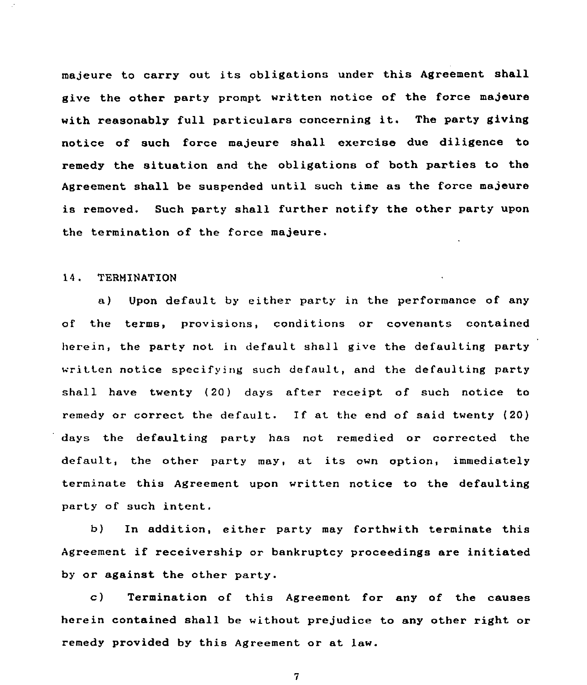majeure to carry out its obligations under this Agreement shall give the other party prompt written notice of the force majeure with reasonably full particulars concerning it. The party giving notice of such force majeure shall exercise due diligence to remedy the situation and the obligations of both parties to the Agreement shall be suspended until such time as the force majeure is removed. Such party shall further notify the other party upon the termination of the force majeure.

# 14, TERNINATION

a) Upon default by either party in the performance of any of the terms, provisions, conditions or covenants contained herein, the party not in default shall give the defaulting party written notice specifying such default, and the defaulting party shall have twenty (20) days after receipt of such notice to remedy or correct the default. If at the end of said twenty (20) days the defaulting party has not remedied or corrected the default, the other party may, at its own option, immediately terminate this Agreement upon written notice to the defaulting party of such intent.

b) In addition, either party may forthwith terminate this Agreement if receivership or bankruptcy proceedings are initiated by or against the other party.

c) Termination of this Agreement for any of the causes herein contained shall be without prejudice to any other right or remedy provided by this Agreement or at law.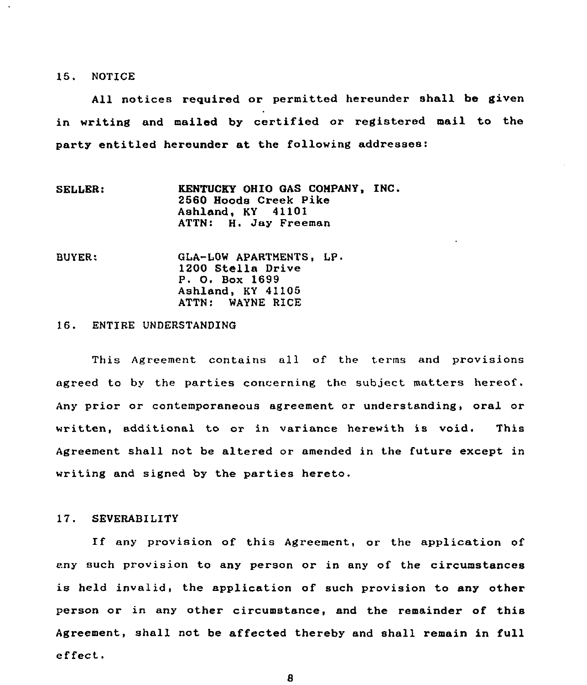### 15. NOTICE

All notices required or permitted hereunder shall be given in writing and mailed by certified or registered mail to the party entitled hereunder at the following addresses:

- SELLER: KENTUCKY OHIO GAS COMPANY, INC. 2560 Hoods Creek Pike Ashland, KY 41101 ATTN: H. Jay Freeman
- BUYER: GLA-LOW APARTNENTS, LP 1200 Stella Drive P. 0. Box 1699 Ashland, KY 41105 ATTN: WAYNE RICE

# 16. ENTIRE UNDERSTANDING

This Agreement contains all of the terms and provisions agreed to bv the parties concerning the subject matters hereof. Any prior or contemporaneous agreement or understanding, oral or written, additional to or in variance herewith is void. This Agreement shall not be altered or amended in the future except in writing and signed by the parties hereto.

### 17. SEVERABILITY

If any provision of this Agreement, or the application of eny such provision to any person or in any of the circumstances is held invalid, the application of such provision to any other person or in any other circumstance, snd the remainder of this Agreement, shall not be affected thereby and shall remain in full effect.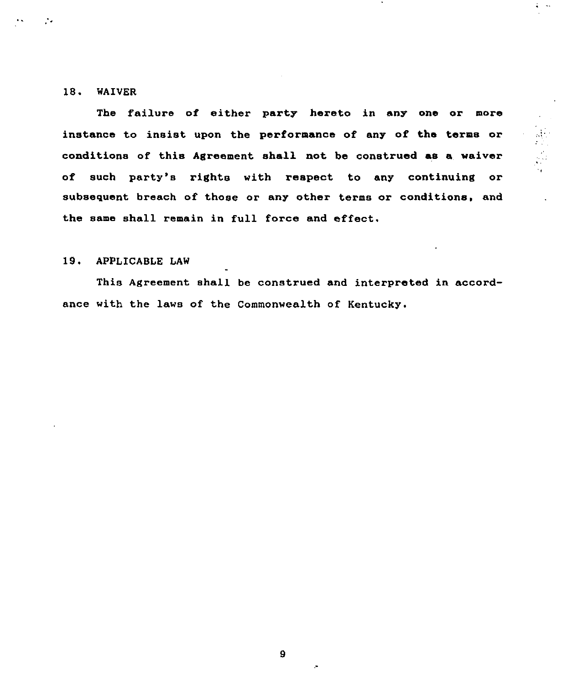# 18. WAIVER

Ž.

The failure of either party hereto in any one or more instance to insist upon the performance of any of the terms or conditions of this Agreement shall not be construed as a waiver of such party's rights with respect to any continuing or subsequent breach of those or any other terms or conditions, and the same shall remain in full force and effect.

# 19. APPLICABLE LAW

This Agreement shall be construed and interpreted in accordance with the laws of the Commonwealth of Kentucky.

 $\mathbf{9}$